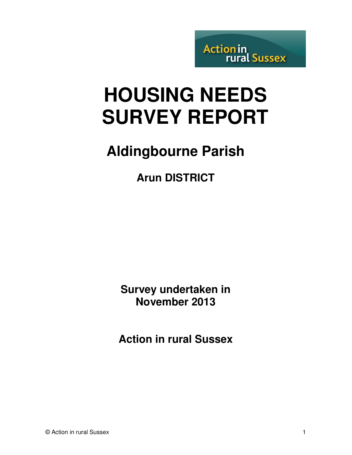**Action in<br>rural Sussex** 

# **HOUSING NEEDS SURVEY REPORT**

# **Aldingbourne Parish**

**Arun DISTRICT** 

**Survey undertaken in November 2013** 

**Action in rural Sussex**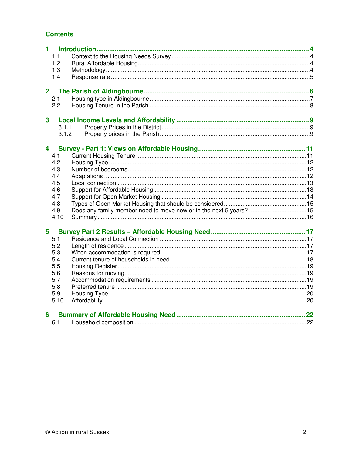#### **Contents**

| $1 -$                   |                                                                    |  |
|-------------------------|--------------------------------------------------------------------|--|
| 1.1                     |                                                                    |  |
| 1.2                     |                                                                    |  |
| 1.3                     |                                                                    |  |
| 1.4                     |                                                                    |  |
|                         |                                                                    |  |
| 2 <sup>1</sup>          |                                                                    |  |
| 2.1                     |                                                                    |  |
| 2.2                     |                                                                    |  |
|                         |                                                                    |  |
| $\mathbf{3}$            |                                                                    |  |
| 3.1.1                   |                                                                    |  |
| 3.1.2                   |                                                                    |  |
|                         |                                                                    |  |
| $\overline{\mathbf{4}}$ |                                                                    |  |
| 4.1                     |                                                                    |  |
| 4.2                     |                                                                    |  |
| 4.3                     |                                                                    |  |
| 4.4                     |                                                                    |  |
| 4.5                     |                                                                    |  |
| 4.6                     |                                                                    |  |
| 4.7                     |                                                                    |  |
| 4.8                     |                                                                    |  |
| 4.9                     | Does any family member need to move now or in the next 5 years? 15 |  |
| 4.10                    |                                                                    |  |
|                         |                                                                    |  |
| 5                       |                                                                    |  |
| 5.1                     |                                                                    |  |
| 5.2                     |                                                                    |  |
| 5.3                     |                                                                    |  |
| 5.4                     |                                                                    |  |
| 5.5                     |                                                                    |  |
| 5.6                     |                                                                    |  |
| 5.7                     |                                                                    |  |
| 5.8                     |                                                                    |  |
| 5.9                     |                                                                    |  |
| 5.10                    |                                                                    |  |
|                         |                                                                    |  |
| 6                       |                                                                    |  |
| 6.1                     |                                                                    |  |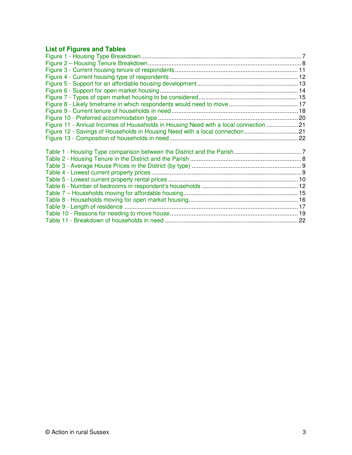# **List of Figures and Tables**

| Figure 11 - Annual Incomes of Households in Housing Need with a local connection  21 |  |
|--------------------------------------------------------------------------------------|--|
| Figure 12 - Savings of Households in Housing Need with a local connection21          |  |
|                                                                                      |  |
|                                                                                      |  |
|                                                                                      |  |
|                                                                                      |  |
|                                                                                      |  |
|                                                                                      |  |
|                                                                                      |  |
|                                                                                      |  |
|                                                                                      |  |
|                                                                                      |  |
|                                                                                      |  |
|                                                                                      |  |
|                                                                                      |  |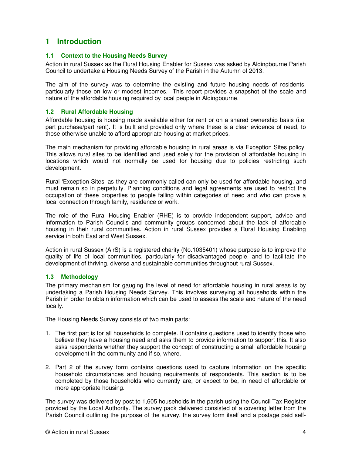### **1 Introduction**

#### **1.1 Context to the Housing Needs Survey**

Action in rural Sussex as the Rural Housing Enabler for Sussex was asked by Aldingbourne Parish Council to undertake a Housing Needs Survey of the Parish in the Autumn of 2013.

The aim of the survey was to determine the existing and future housing needs of residents, particularly those on low or modest incomes. This report provides a snapshot of the scale and nature of the affordable housing required by local people in Aldingbourne.

#### **1.2 Rural Affordable Housing**

Affordable housing is housing made available either for rent or on a shared ownership basis (i.e. part purchase/part rent). It is built and provided only where these is a clear evidence of need, to those otherwise unable to afford appropriate housing at market prices.

The main mechanism for providing affordable housing in rural areas is via Exception Sites policy. This allows rural sites to be identified and used solely for the provision of affordable housing in locations which would not normally be used for housing due to policies restricting such development.

Rural 'Exception Sites' as they are commonly called can only be used for affordable housing, and must remain so in perpetuity. Planning conditions and legal agreements are used to restrict the occupation of these properties to people falling within categories of need and who can prove a local connection through family, residence or work.

The role of the Rural Housing Enabler (RHE) is to provide independent support, advice and information to Parish Councils and community groups concerned about the lack of affordable housing in their rural communities. Action in rural Sussex provides a Rural Housing Enabling service in both East and West Sussex.

Action in rural Sussex (AirS) is a registered charity (No.1035401) whose purpose is to improve the quality of life of local communities, particularly for disadvantaged people, and to facilitate the development of thriving, diverse and sustainable communities throughout rural Sussex.

#### **1.3 Methodology**

The primary mechanism for gauging the level of need for affordable housing in rural areas is by undertaking a Parish Housing Needs Survey. This involves surveying all households within the Parish in order to obtain information which can be used to assess the scale and nature of the need locally.

The Housing Needs Survey consists of two main parts:

- 1. The first part is for all households to complete. It contains questions used to identify those who believe they have a housing need and asks them to provide information to support this. It also asks respondents whether they support the concept of constructing a small affordable housing development in the community and if so, where.
- 2. Part 2 of the survey form contains questions used to capture information on the specific household circumstances and housing requirements of respondents. This section is to be completed by those households who currently are, or expect to be, in need of affordable or more appropriate housing.

The survey was delivered by post to 1,605 households in the parish using the Council Tax Register provided by the Local Authority. The survey pack delivered consisted of a covering letter from the Parish Council outlining the purpose of the survey, the survey form itself and a postage paid self-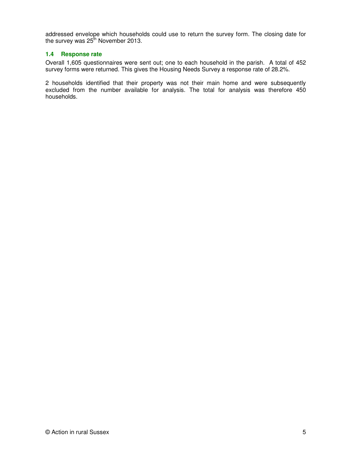addressed envelope which households could use to return the survey form. The closing date for the survey was 25<sup>th</sup> November 2013.

#### **1.4 Response rate**

Overall 1,605 questionnaires were sent out; one to each household in the parish. A total of 452 survey forms were returned. This gives the Housing Needs Survey a response rate of 28.2%.

2 households identified that their property was not their main home and were subsequently excluded from the number available for analysis. The total for analysis was therefore 450 households.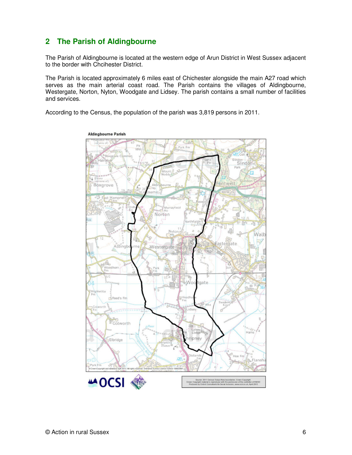# **2 The Parish of Aldingbourne**

The Parish of Aldingbourne is located at the western edge of Arun District in West Sussex adjacent to the border with Chcihester District.

The Parish is located approximately 6 miles east of Chichester alongside the main A27 road which serves as the main arterial coast road. The Parish contains the villages of Aldingbourne, Westergate, Norton, Nyton, Woodgate and Lidsey. The parish contains a small number of facilities and services.

According to the Census, the population of the parish was 3,819 persons in 2011.

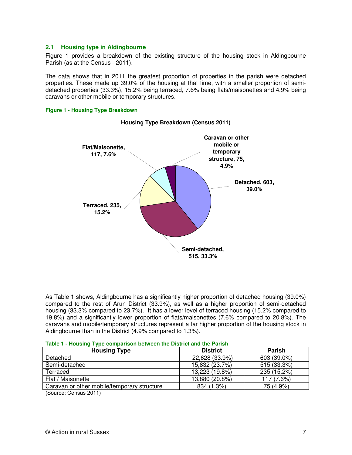#### **2.1 Housing type in Aldingbourne**

Figure 1 provides a breakdown of the existing structure of the housing stock in Aldingbourne Parish (as at the Census - 2011).

The data shows that in 2011 the greatest proportion of properties in the parish were detached properties. These made up 39.0% of the housing at that time, with a smaller proportion of semidetached properties (33.3%), 15.2% being terraced, 7.6% being flats/maisonettes and 4.9% being caravans or other mobile or temporary structures.

#### **Figure 1 - Housing Type Breakdown**



#### **Housing Type Breakdown (Census 2011)**

As Table 1 shows, Aldingbourne has a significantly higher proportion of detached housing (39.0%) compared to the rest of Arun District (33.9%), as well as a higher proportion of semi-detached housing (33.3% compared to 23.7%). It has a lower level of terraced housing (15.2% compared to 19.8%) and a significantly lower proportion of flats/maisonettes (7.6% compared to 20.8%). The caravans and mobile/temporary structures represent a far higher proportion of the housing stock in Aldingbourne than in the District (4.9% compared to 1.3%).

| <u>rable 1 - Housing Type comparison between the bistrict and the Farish</u> |                 |               |
|------------------------------------------------------------------------------|-----------------|---------------|
| <b>Housing Type</b>                                                          | <b>District</b> | <b>Parish</b> |
| Detached                                                                     | 22,628 (33.9%)  | 603 (39.0%)   |
| Semi-detached                                                                | 15,832 (23.7%)  | 515 (33.3%)   |
| Terraced                                                                     | 13,223 (19.8%)  | 235 (15.2%)   |
| Flat / Maisonette                                                            | 13,880 (20.8%)  | 117 (7.6%)    |
| Caravan or other mobile/temporary structure                                  | 834 (1.3%)      | 75 (4.9%)     |
| $\sim$<br>$\begin{array}{c} \hline \end{array}$                              |                 |               |

(Source: Census 2011)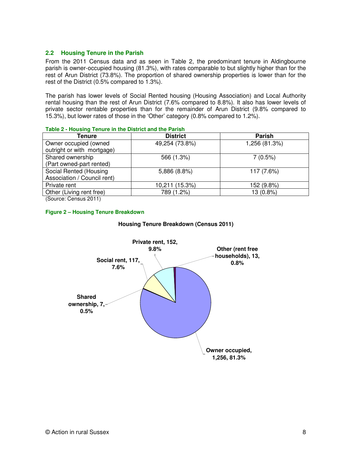#### **2.2 Housing Tenure in the Parish**

From the 2011 Census data and as seen in Table 2, the predominant tenure in Aldingbourne parish is owner-occupied housing (81.3%), with rates comparable to but slightly higher than for the rest of Arun District (73.8%). The proportion of shared ownership properties is lower than for the rest of the District (0.5% compared to 1.3%).

The parish has lower levels of Social Rented housing (Housing Association) and Local Authority rental housing than the rest of Arun District (7.6% compared to 8.8%). It also has lower levels of private sector rentable properties than for the remainder of Arun District (9.8% compared to 15.3%), but lower rates of those in the 'Other' category (0.8% compared to 1.2%).

| Tenure                                              | <b>District</b> | <b>Parish</b> |
|-----------------------------------------------------|-----------------|---------------|
| Owner occupied (owned<br>outright or with mortgage) | 49,254 (73.8%)  | 1,256 (81.3%) |
| Shared ownership                                    | 566 (1.3%)      | 7(0.5%)       |
| (Part owned-part rented)                            |                 |               |
| Social Rented (Housing                              | 5,886 (8.8%)    | 117 (7.6%)    |
| Association / Council rent)                         |                 |               |
| Private rent                                        | 10,211 (15.3%)  | 152 (9.8%)    |
| Other (Living rent free)                            | 789 (1.2%)      | 13 (0.8%)     |
|                                                     |                 |               |

#### **Table 2 - Housing Tenure in the District and the Parish**

(Source: Census 2011)

#### **Figure 2 – Housing Tenure Breakdown**



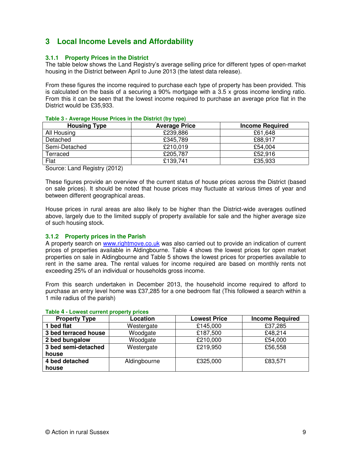# **3 Local Income Levels and Affordability**

#### **3.1.1 Property Prices in the District**

The table below shows the Land Registry's average selling price for different types of open-market housing in the District between April to June 2013 (the latest data release).

From these figures the income required to purchase each type of property has been provided. This is calculated on the basis of a securing a 90% mortgage with a 3.5 x gross income lending ratio. From this it can be seen that the lowest income required to purchase an average price flat in the District would be £35,933.

| <b>Housing Type</b> | <b>Average Price</b> | <b>Income Required</b> |
|---------------------|----------------------|------------------------|
| All Housing         | £239,886             | £61,648                |
| Detached            | £345,789             | £88,917                |
| Semi-Detached       | £210,019             | £54,004                |
| Terraced            | £205,787             | £52,916                |
| Flat                | £139,741             | £35,933                |

#### **Table 3 - Average House Prices in the District (by type)**

Source: Land Registry (2012)

These figures provide an overview of the current status of house prices across the District (based on sale prices). It should be noted that house prices may fluctuate at various times of year and between different geographical areas.

House prices in rural areas are also likely to be higher than the District-wide averages outlined above, largely due to the limited supply of property available for sale and the higher average size of such housing stock.

#### **3.1.2 Property prices in the Parish**

A property search on www.rightmove.co.uk was also carried out to provide an indication of current prices of properties available in Aldingbourne. Table 4 shows the lowest prices for open market properties on sale in Aldingbourne and Table 5 shows the lowest prices for properties available to rent in the same area. The rental values for income required are based on monthly rents not exceeding 25% of an individual or households gross income.

From this search undertaken in December 2013, the household income required to afford to purchase an entry level home was £37,285 for a one bedroom flat (This followed a search within a 1 mile radius of the parish)

| <b>Property Type</b> | Location     | <b>Lowest Price</b> | <b>Income Required</b> |
|----------------------|--------------|---------------------|------------------------|
| 1 bed flat           | Westergate   | £145,000            | £37,285                |
| 3 bed terraced house | Woodgate     | £187,500            | £48,214                |
| 2 bed bungalow       | Woodgate     | £210,000            | £54,000                |
| 3 bed semi-detached  | Westergate   | £219,950            | £56,558                |
| house                |              |                     |                        |
| 4 bed detached       | Aldingbourne | £325,000            | £83,571                |
| house                |              |                     |                        |

#### **Table 4 - Lowest current property prices**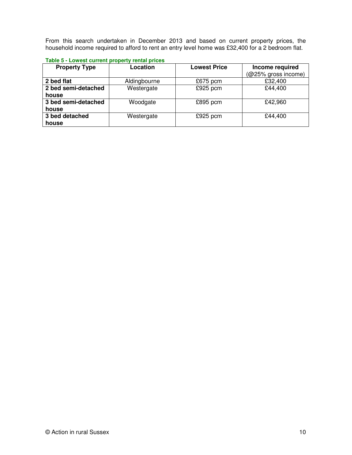From this search undertaken in December 2013 and based on current property prices, the household income required to afford to rent an entry level home was £32,400 for a 2 bedroom flat.

| Table 5 - Lowest current property rental prices |  |  |
|-------------------------------------------------|--|--|
|                                                 |  |  |

| <b>Property Type</b> | Location     | <b>Lowest Price</b> | Income required     |
|----------------------|--------------|---------------------|---------------------|
|                      |              |                     | (@25% gross income) |
| 2 bed flat           | Aldingbourne | $£675$ pcm          | £32,400             |
| 2 bed semi-detached  | Westergate   | £925 pcm            | £44,400             |
| house                |              |                     |                     |
| 3 bed semi-detached  | Woodgate     | £895 pcm            | £42,960             |
| house                |              |                     |                     |
| 3 bed detached       | Westergate   | $£925$ pcm          | £44,400             |
| house                |              |                     |                     |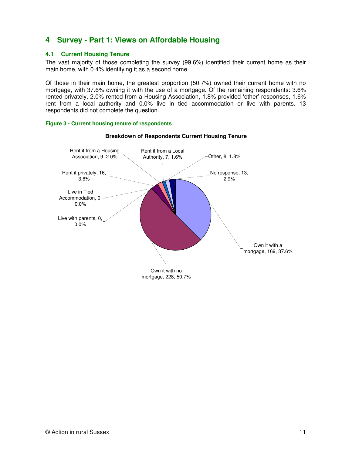# **4 Survey - Part 1: Views on Affordable Housing**

#### **4.1 Current Housing Tenure**

The vast majority of those completing the survey (99.6%) identified their current home as their main home, with 0.4% identifying it as a second home.

Of those in their main home, the greatest proportion (50.7%) owned their current home with no mortgage, with 37.6% owning it with the use of a mortgage. Of the remaining respondents: 3.6% rented privately, 2.0% rented from a Housing Association, 1.8% provided 'other' responses, 1.6% rent from a local authority and 0.0% live in tied accommodation or live with parents. 13 respondents did not complete the question.





**Breakdown of Respondents Current Housing Tenure**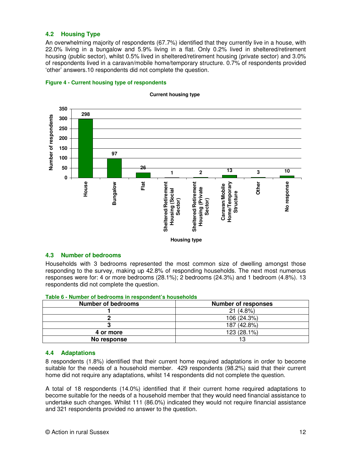#### **4.2 Housing Type**

An overwhelming majority of respondents (67.7%) identified that they currently live in a house, with 22.0% living in a bungalow and 5.9% living in a flat. Only 0.2% lived in sheltered/retirement housing (public sector), whilst 0.5% lived in sheltered/retirement housing (private sector) and 3.0% of respondents lived in a caravan/mobile home/temporary structure. 0.7% of respondents provided 'other' answers.10 respondents did not complete the question.





#### **Current housing type**

#### **4.3 Number of bedrooms**

Households with 3 bedrooms represented the most common size of dwelling amongst those responding to the survey, making up 42.8% of responding households. The next most numerous responses were for: 4 or more bedrooms (28.1%); 2 bedrooms (24.3%) and 1 bedroom (4.8%). 13 respondents did not complete the question.

| <b>Number of bedrooms</b> | <b>Number of responses</b> |
|---------------------------|----------------------------|
|                           | $21(4.8\%)$                |
|                           | 106 (24.3%)                |
|                           | 187 (42.8%)                |
| 4 or more                 | 123 (28.1%)                |
| No response               | 13                         |

**Table 6 - Number of bedrooms in respondent's households** 

#### **4.4 Adaptations**

8 respondents (1.8%) identified that their current home required adaptations in order to become suitable for the needs of a household member. 429 respondents (98.2%) said that their current home did not require any adaptations, whilst 14 respondents did not complete the question.

A total of 18 respondents (14.0%) identified that if their current home required adaptations to become suitable for the needs of a household member that they would need financial assistance to undertake such changes. Whilst 111 (86.0%) indicated they would not require financial assistance and 321 respondents provided no answer to the question.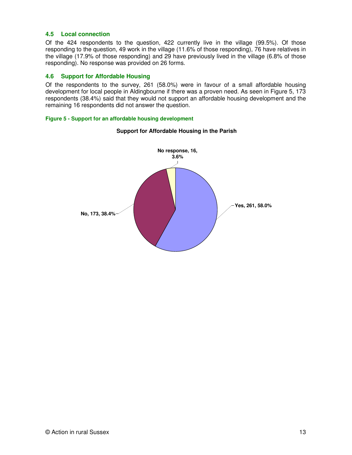#### **4.5 Local connection**

Of the 424 respondents to the question, 422 currently live in the village (99.5%). Of those responding to the question, 49 work in the village (11.6% of those responding), 76 have relatives in the village (17.9% of those responding) and 29 have previously lived in the village (6.8% of those responding). No response was provided on 26 forms.

#### **4.6 Support for Affordable Housing**

Of the respondents to the survey, 261 (58.0%) were in favour of a small affordable housing development for local people in Aldingbourne if there was a proven need. As seen in Figure 5, 173 respondents (38.4%) said that they would not support an affordable housing development and the remaining 16 respondents did not answer the question.

#### **Figure 5 - Support for an affordable housing development**



#### **Support for Affordable Housing in the Parish**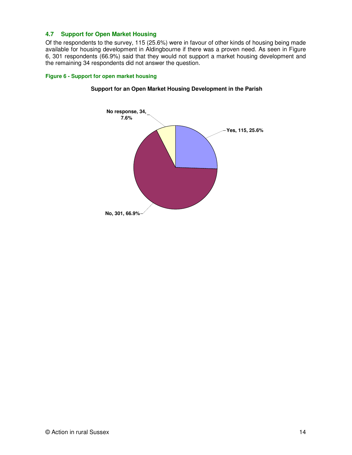#### **4.7 Support for Open Market Housing**

Of the respondents to the survey, 115 (25.6%) were in favour of other kinds of housing being made available for housing development in Aldingbourne if there was a proven need. As seen in Figure 6, 301 respondents (66.9%) said that they would not support a market housing development and the remaining 34 respondents did not answer the question.

#### **Figure 6 - Support for open market housing**



#### **Support for an Open Market Housing Development in the Parish**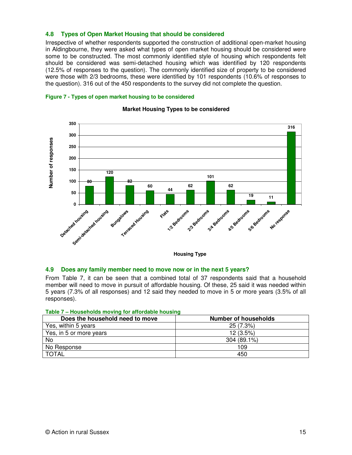#### **4.8 Types of Open Market Housing that should be considered**

Irrespective of whether respondents supported the construction of additional open-market housing in Aldingbourne, they were asked what types of open market housing should be considered were some to be constructed. The most commonly identified style of housing which respondents felt should be considered was semi-detached housing which was identified by 120 respondents (12.5% of responses to the question). The commonly identified size of property to be considered were those with 2/3 bedrooms, these were identified by 101 respondents (10.6% of responses to the question). 316 out of the 450 respondents to the survey did not complete the question.





#### **Market Housing Types to be considered**

**Housing Type**

#### **4.9 Does any family member need to move now or in the next 5 years?**

From Table 7, it can be seen that a combined total of 37 respondents said that a household member will need to move in pursuit of affordable housing. Of these, 25 said it was needed within 5 years (7.3% of all responses) and 12 said they needed to move in 5 or more years (3.5% of all responses).

| $\mu$ and $\mu$ – Households inoving for anordable housing |
|------------------------------------------------------------|
| <b>Number of households</b>                                |
| 25 (7.3%)                                                  |
| $12(3.5\%)$                                                |
| 304 (89.1%)                                                |
| 109                                                        |
| 450                                                        |
|                                                            |

#### **Table 7 – Households moving for affordable housing**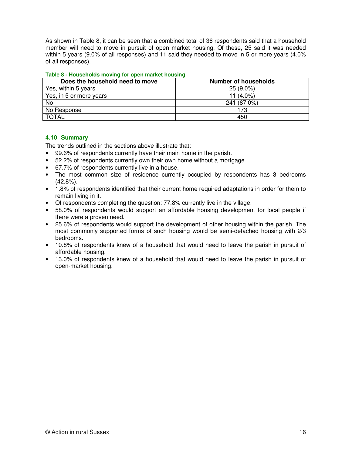As shown in Table 8, it can be seen that a combined total of 36 respondents said that a household member will need to move in pursuit of open market housing. Of these, 25 said it was needed within 5 years (9.0% of all responses) and 11 said they needed to move in 5 or more years (4.0% of all responses).

| Table 8 - Households moving for open market housing |
|-----------------------------------------------------|
|-----------------------------------------------------|

| Does the household need to move | <b>Number of households</b> |  |
|---------------------------------|-----------------------------|--|
| Yes, within 5 years             | $25(9.0\%)$                 |  |
| Yes, in 5 or more years         | 11 $(4.0\%)$                |  |
| No                              | 241 (87.0%)                 |  |
| No Response                     | 173                         |  |
| <b>TOTAL</b>                    | 450                         |  |

#### **4.10 Summary**

The trends outlined in the sections above illustrate that:

- 99.6% of respondents currently have their main home in the parish.
- 52.2% of respondents currently own their own home without a mortgage.
- 67.7% of respondents currently live in a house.
- The most common size of residence currently occupied by respondents has 3 bedrooms (42.8%).
- 1.8% of respondents identified that their current home required adaptations in order for them to remain living in it.
- Of respondents completing the question: 77.8% currently live in the village.
- 58.0% of respondents would support an affordable housing development for local people if there were a proven need.
- 25.6% of respondents would support the development of other housing within the parish. The most commonly supported forms of such housing would be semi-detached housing with 2/3 bedrooms.
- 10.8% of respondents knew of a household that would need to leave the parish in pursuit of affordable housing.
- 13.0% of respondents knew of a household that would need to leave the parish in pursuit of open-market housing.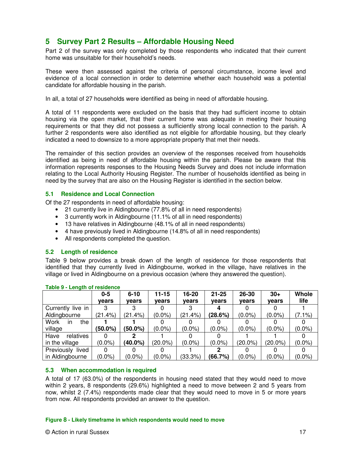# **5 Survey Part 2 Results – Affordable Housing Need**

Part 2 of the survey was only completed by those respondents who indicated that their current home was unsuitable for their household's needs.

These were then assessed against the criteria of personal circumstance, income level and evidence of a local connection in order to determine whether each household was a potential candidate for affordable housing in the parish.

In all, a total of 27 households were identified as being in need of affordable housing.

A total of 11 respondents were excluded on the basis that they had sufficient income to obtain housing via the open market, that their current home was adequate in meeting their housing requirements or that they did not possess a sufficiently strong local connection to the parish. A further 2 respondents were also identified as not eligible for affordable housing, but they clearly indicated a need to downsize to a more appropriate property that met their needs.

The remainder of this section provides an overview of the responses received from households identified as being in need of affordable housing within the parish. Please be aware that this information represents responses to the Housing Needs Survey and does not include information relating to the Local Authority Housing Register. The number of households identified as being in need by the survey that are also on the Housing Register is identified in the section below.

#### **5.1 Residence and Local Connection**

Of the 27 respondents in need of affordable housing:

- 21 currently live in Aldingbourne (77.8% of all in need respondents)
- 3 currently work in Aldingbourne (11.1% of all in need respondents)
- 13 have relatives in Aldingbourne (48.1% of all in need respondents)
- 4 have previously lived in Aldingbourne (14.8% of all in need respondents)
- All respondents completed the question.

#### **5.2 Length of residence**

Table 9 below provides a break down of the length of residence for those respondents that identified that they currently lived in Aldingbourne, worked in the village, have relatives in the village or lived in Aldingbourne on a previous occasion (where they answered the question).

|                     | $0-5$      | $6 - 10$   | $11 - 15$  | $16 - 20$ | $21 - 25$ | 26-30      | $30+$      | <b>Whole</b> |
|---------------------|------------|------------|------------|-----------|-----------|------------|------------|--------------|
|                     | vears      | vears      | vears      | vears     | vears     | vears      | vears      | life         |
| Currently live in   |            |            |            |           |           |            |            |              |
| Aldingbourne        | (21.4%)    | (21.4%)    | $(0.0\%)$  | (21.4%)   | (28.6%)   | $(0.0\%)$  | $(0.0\%)$  | $(7.1\%)$    |
| Work<br>the<br>ın   |            |            |            |           |           |            |            |              |
| village             | $(50.0\%)$ | $(50.0\%)$ | $(0.0\%)$  | $(0.0\%)$ | $(0.0\%)$ | $(0.0\%)$  | $(0.0\%)$  | $(0.0\%)$    |
| Have<br>relatives   |            |            |            |           |           |            |            |              |
| in the village      | $(0.0\%)$  | $(40.0\%)$ | $(20.0\%)$ | $(0.0\%)$ | $(0.0\%)$ | $(20.0\%)$ | $(20.0\%)$ | $(0.0\%)$    |
| Previously<br>lived |            |            |            |           |           |            |            |              |
| in Aldingbourne     | $(0.0\%)$  | $(0.0\%)$  | $(0.0\%)$  | (33.3%)   | (66.7%)   | $(0.0\%)$  | $(0.0\%)$  | $(0.0\%)$    |

**Table 9 - Length of residence** 

#### **5.3 When accommodation is required**

A total of 17 (63.0%) of the respondents in housing need stated that they would need to move within 2 years, 8 respondents (29.6%) highlighted a need to move between 2 and 5 years from now, whilst 2 (7.4%) respondents made clear that they would need to move in 5 or more years from now. All respondents provided an answer to the question.

#### **Figure 8 - Likely timeframe in which respondents would need to move**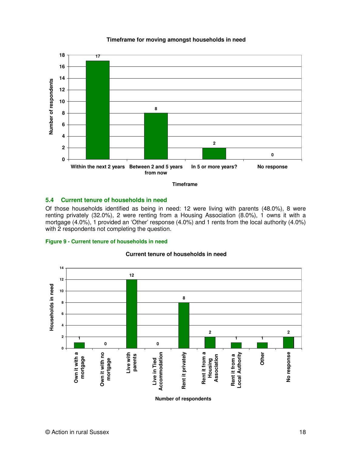#### **Timeframe for moving amongst households in need**



**Timeframe**

#### **5.4 Current tenure of households in need**

Of those households identified as being in need: 12 were living with parents (48.0%), 8 were renting privately (32.0%), 2 were renting from a Housing Association (8.0%), 1 owns it with a mortgage (4.0%), 1 provided an 'Other' response (4.0%) and 1 rents from the local authority (4.0%) with 2 respondents not completing the question.

#### **Figure 9 - Current tenure of households in need**



#### **Current tenure of households in need**

**Number of respondents**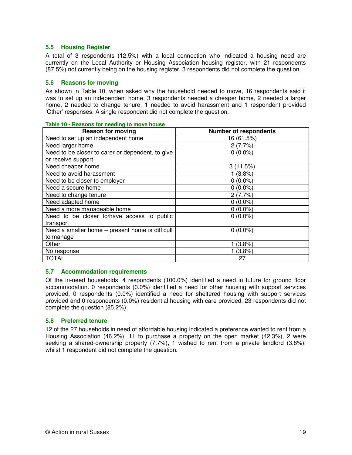#### **5.5 Housing Register**

A total of 3 respondents (12.5%) with a local connection who indicated a housing need are currently on the Local Authority or Housing Association housing register, with 21 respondents (87.5%) not currently being on the housing register. 3 respondents did not complete the question.

#### **5.6 Reasons for moving**

As shown in Table 10, when asked why the household needed to move, 16 respondents said it was to set up an independent home, 3 respondents needed a cheaper home, 2 needed a larger home, 2 needed to change tenure, 1 needed to avoid harassment and 1 respondent provided 'Other' responses. A single respondent did not complete the question.

| <b>Reason for moving</b>                         | <b>Number of respondents</b> |
|--------------------------------------------------|------------------------------|
| Need to set up an independent home               | 16 (61.5%)                   |
| Need larger home                                 | 2(7.7%)                      |
| Need to be closer to carer or dependent, to give | $0(0.0\%)$                   |
| or receive support                               |                              |
| Need cheaper home                                | 3(11.5%)                     |
| Need to avoid harassment                         | 1(3.8%)                      |
| Need to be closer to employer                    | $0(0.0\%)$                   |
| Need a secure home                               | $0(0.0\%)$                   |
| Need to change tenure                            | 2(7.7%)                      |
| Need adapted home                                | $0(0.0\%)$                   |
| Need a more manageable home                      | $0(0.0\%)$                   |
| Need to be closer to/have access to public       | $0(0.0\%)$                   |
| transport                                        |                              |
| Need a smaller home – present home is difficult  | $0(0.0\%)$                   |
| to manage                                        |                              |
| Other                                            | (3.8%)                       |
| No response                                      | (3.8%)                       |
| <b>TOTAL</b>                                     | 27                           |

#### **Table 10 - Reasons for needing to move house**

#### **5.7 Accommodation requirements**

Of the in-need households, 4 respondents (100.0%) identified a need in future for ground floor accommodation. 0 respondents (0.0%) identified a need for other housing with support services provided, 0 respondents (0.0%) identified a need for sheltered housing with support services provided and 0 respondents (0.0%) residential housing with care provided. 23 respondents did not complete the question (85.2%).

#### **5.8 Preferred tenure**

12 of the 27 households in need of affordable housing indicated a preference wanted to rent from a Housing Association (46.2%), 11 to purchase a property on the open market (42.3%), 2 were seeking a shared-ownership property (7.7%), 1 wished to rent from a private landlord (3.8%), whilst 1 respondent did not complete the question.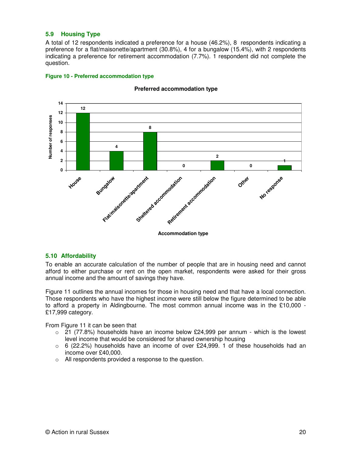#### **5.9 Housing Type**

**Figure 10 - Preferred accommodation type** 

A total of 12 respondents indicated a preference for a house (46.2%), 8 respondents indicating a preference for a flat/maisonette/apartment (30.8%), 4 for a bungalow (15.4%), with 2 respondents indicating a preference for retirement accommodation (7.7%). 1 respondent did not complete the question.



#### **Preferred accommodation type**

#### **5.10 Affordability**

To enable an accurate calculation of the number of people that are in housing need and cannot afford to either purchase or rent on the open market, respondents were asked for their gross annual income and the amount of savings they have.

Figure 11 outlines the annual incomes for those in housing need and that have a local connection. Those respondents who have the highest income were still below the figure determined to be able to afford a property in Aldingbourne. The most common annual income was in the £10,000 - £17,999 category.

From Figure 11 it can be seen that

- $\circ$  21 (77.8%) households have an income below £24,999 per annum which is the lowest level income that would be considered for shared ownership housing
- $\circ$  6 (22.2%) households have an income of over £24,999. 1 of these households had an income over £40,000.
- o All respondents provided a response to the question.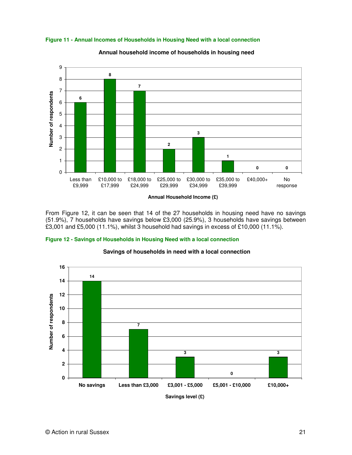

**Figure 11 - Annual Incomes of Households in Housing Need with a local connection** 

**Annual household income of households in housing need**

From Figure 12, it can be seen that 14 of the 27 households in housing need have no savings (51.9%), 7 households have savings below £3,000 (25.9%), 3 households have savings between £3,001 and £5,000 (11.1%), whilst 3 household had savings in excess of £10,000 (11.1%).





#### **Savings of households in need with a local connection**

**Savings level (£)**